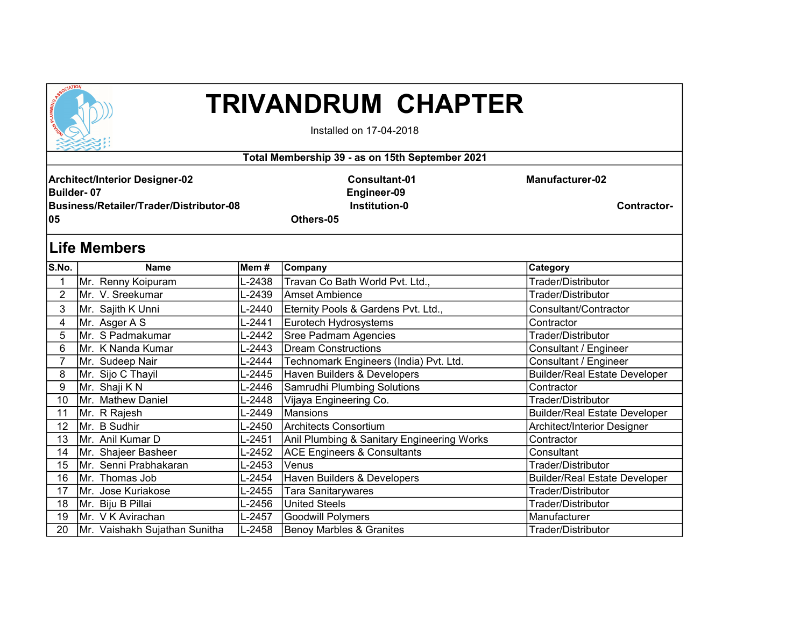

## TRIVANDRUM CHAPTER

Installed on 17-04-2018

| Total Membership 39 - as on 15th September 2021                                                             |                               |        |                                                                          |                                       |  |  |  |  |  |
|-------------------------------------------------------------------------------------------------------------|-------------------------------|--------|--------------------------------------------------------------------------|---------------------------------------|--|--|--|--|--|
| <b>Architect/Interior Designer-02</b><br><b>Builder-07</b><br>Business/Retailer/Trader/Distributor-08<br>05 |                               |        | <b>Consultant-01</b><br>Engineer-09<br><b>Institution-0</b><br>Others-05 | <b>Manufacturer-02</b><br>Contractor- |  |  |  |  |  |
| ∣Life Members                                                                                               |                               |        |                                                                          |                                       |  |  |  |  |  |
| S.No.                                                                                                       | <b>Name</b>                   | Mem #  | <b>Company</b>                                                           | Category                              |  |  |  |  |  |
|                                                                                                             | Mr. Renny Koipuram            | L-2438 | Travan Co Bath World Pvt. Ltd.,                                          | Trader/Distributor                    |  |  |  |  |  |
| 2                                                                                                           | Mr. V. Sreekumar              | L-2439 | lAmset Ambience                                                          | Trader/Distributor                    |  |  |  |  |  |
| 3                                                                                                           | Mr. Sajith K Unni             | L-2440 | Eternity Pools & Gardens Pvt. Ltd.,                                      | Consultant/Contractor                 |  |  |  |  |  |
| 4                                                                                                           | Mr. Asger A S                 | L-2441 | Eurotech Hydrosystems                                                    | Contractor                            |  |  |  |  |  |
| 5                                                                                                           | Mr. S Padmakumar              | L-2442 | <b>Sree Padmam Agencies</b>                                              | Trader/Distributor                    |  |  |  |  |  |
| 6                                                                                                           | Mr. K Nanda Kumar             | L-2443 | <b>Dream Constructions</b>                                               | Consultant / Engineer                 |  |  |  |  |  |
| 7                                                                                                           | Mr. Sudeep Nair               | L-2444 | Technomark Engineers (India) Pvt. Ltd.                                   | Consultant / Engineer                 |  |  |  |  |  |
| 8                                                                                                           | Mr. Sijo C Thayil             | L-2445 | Haven Builders & Developers                                              | <b>Builder/Real Estate Developer</b>  |  |  |  |  |  |
| 9                                                                                                           | Mr. Shaji KN                  | L-2446 | Samrudhi Plumbing Solutions                                              | Contractor                            |  |  |  |  |  |
| 10                                                                                                          | Mr. Mathew Daniel             | L-2448 | Vijaya Engineering Co.                                                   | Trader/Distributor                    |  |  |  |  |  |
| 11                                                                                                          | Mr. R Rajesh                  | L-2449 | <b>Mansions</b>                                                          | <b>Builder/Real Estate Developer</b>  |  |  |  |  |  |
| 12                                                                                                          | Mr. B Sudhir                  | L-2450 | lArchitects Consortium                                                   | Architect/Interior Designer           |  |  |  |  |  |
| 13                                                                                                          | Mr. Anil Kumar D              | L-2451 | Anil Plumbing & Sanitary Engineering Works                               | Contractor                            |  |  |  |  |  |
| 14                                                                                                          | Mr. Shajeer Basheer           | L-2452 | <b>ACE Engineers &amp; Consultants</b>                                   | Consultant                            |  |  |  |  |  |
| 15                                                                                                          | Mr. Senni Prabhakaran         | L-2453 | Venus                                                                    | Trader/Distributor                    |  |  |  |  |  |
| 16                                                                                                          | Mr. Thomas Job                | L-2454 | Haven Builders & Developers                                              | <b>Builder/Real Estate Developer</b>  |  |  |  |  |  |
| 17                                                                                                          | Mr. Jose Kuriakose            | L-2455 | <b>Tara Sanitarywares</b>                                                | Trader/Distributor                    |  |  |  |  |  |
| 18                                                                                                          | Mr. Biju B Pillai             | L-2456 | <b>United Steels</b>                                                     | Trader/Distributor                    |  |  |  |  |  |
| 19                                                                                                          | Mr. V K Avirachan             | L-2457 | <b>Goodwill Polymers</b>                                                 | Manufacturer                          |  |  |  |  |  |
| 20                                                                                                          | Mr. Vaishakh Sujathan Sunitha | L-2458 | <b>Benoy Marbles &amp; Granites</b>                                      | Trader/Distributor                    |  |  |  |  |  |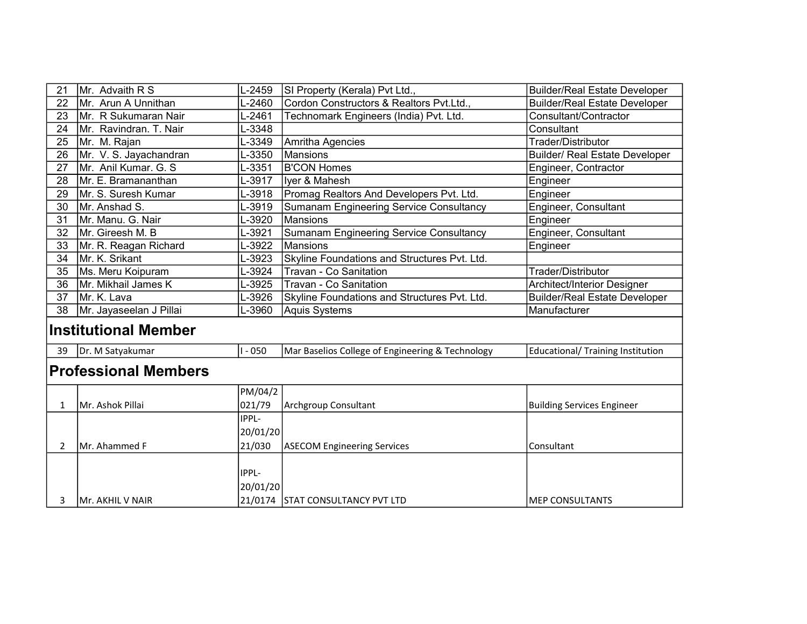| 21                          | Mr. Advaith R S         | L-2459    | SI Property (Kerala) Pvt Ltd.,                   | <b>Builder/Real Estate Developer</b>     |  |  |  |
|-----------------------------|-------------------------|-----------|--------------------------------------------------|------------------------------------------|--|--|--|
| 22                          | Mr. Arun A Unnithan     | L-2460    | Cordon Constructors & Realtors Pvt.Ltd.,         | <b>Builder/Real Estate Developer</b>     |  |  |  |
| 23                          | Mr. R Sukumaran Nair    | L-2461    | Technomark Engineers (India) Pvt. Ltd.           | Consultant/Contractor                    |  |  |  |
| 24                          | Mr. Ravindran. T. Nair  | L-3348    |                                                  | Consultant                               |  |  |  |
| 25                          | Mr. M. Rajan            | L-3349    | Amritha Agencies                                 | Trader/Distributor                       |  |  |  |
| 26                          | Mr. V. S. Jayachandran  | L-3350    | Mansions                                         | <b>Builder/ Real Estate Developer</b>    |  |  |  |
| 27                          | Mr. Anil Kumar, G. S.   | L-3351    | B'CON Homes                                      | Engineer, Contractor                     |  |  |  |
| 28                          | Mr. E. Bramananthan     | L-3917    | Iyer & Mahesh                                    | Engineer                                 |  |  |  |
| 29                          | Mr. S. Suresh Kumar     | L-3918    | Promag Realtors And Developers Pvt. Ltd.         | Engineer                                 |  |  |  |
| 30                          | Mr. Anshad S.           | L-3919    | Sumanam Engineering Service Consultancy          | Engineer, Consultant                     |  |  |  |
| 31                          | Mr. Manu. G. Nair       | L-3920    | <b>Mansions</b>                                  | Engineer                                 |  |  |  |
| 32                          | Mr. Gireesh M. B        | L-3921    | Sumanam Engineering Service Consultancy          | Engineer, Consultant                     |  |  |  |
| 33                          | Mr. R. Reagan Richard   | L-3922    | Mansions                                         | Engineer                                 |  |  |  |
| 34                          | Mr. K. Srikant          | L-3923    | Skyline Foundations and Structures Pvt. Ltd.     |                                          |  |  |  |
| 35                          | Ms. Meru Koipuram       | L-3924    | Travan - Co Sanitation                           | Trader/Distributor                       |  |  |  |
| 36                          | Mr. Mikhail James K     | L-3925    | Travan - Co Sanitation                           | Architect/Interior Designer              |  |  |  |
| 37                          | Mr. K. Lava             | L-3926    | Skyline Foundations and Structures Pvt. Ltd.     | <b>Builder/Real Estate Developer</b>     |  |  |  |
| 38                          | Mr. Jayaseelan J Pillai | L-3960    | <b>Aquis Systems</b>                             | Manufacturer                             |  |  |  |
| <b>Institutional Member</b> |                         |           |                                                  |                                          |  |  |  |
| 39                          | Dr. M Satyakumar        | $1 - 050$ | Mar Baselios College of Engineering & Technology | <b>Educational/ Training Institution</b> |  |  |  |
| <b>Professional Members</b> |                         |           |                                                  |                                          |  |  |  |
|                             |                         | PM/04/2   |                                                  |                                          |  |  |  |
| $\mathbf{1}$                | Mr. Ashok Pillai        | 021/79    | Archgroup Consultant                             | <b>Building Services Engineer</b>        |  |  |  |
|                             |                         | IPPL-     |                                                  |                                          |  |  |  |
|                             |                         | 20/01/20  |                                                  |                                          |  |  |  |
| $\overline{2}$              | Mr. Ahammed F           | 21/030    | ASECOM Engineering Services                      | Consultant                               |  |  |  |
|                             |                         |           |                                                  |                                          |  |  |  |
|                             |                         | IPPL-     |                                                  |                                          |  |  |  |
|                             |                         | 20/01/20  |                                                  |                                          |  |  |  |
| 3                           | Mr. AKHIL V NAIR        |           | 21/0174 STAT CONSULTANCY PVT LTD                 | <b>MEP CONSULTANTS</b>                   |  |  |  |